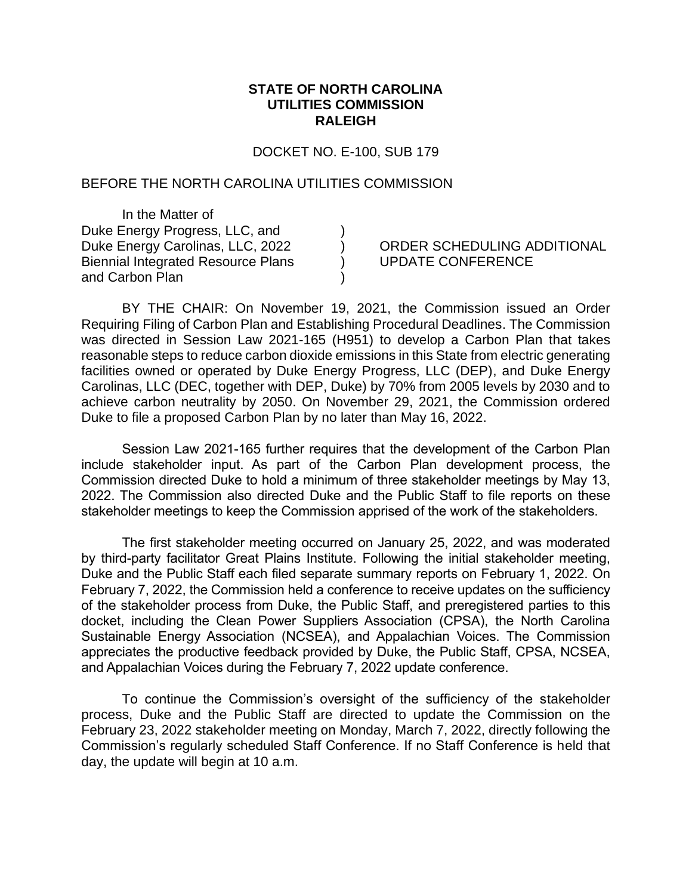## **STATE OF NORTH CAROLINA UTILITIES COMMISSION RALEIGH**

DOCKET NO. E-100, SUB 179

) ) ) )

## BEFORE THE NORTH CAROLINA UTILITIES COMMISSION

In the Matter of Duke Energy Progress, LLC, and Duke Energy Carolinas, LLC, 2022 Biennial Integrated Resource Plans and Carbon Plan

## ORDER SCHEDULING ADDITIONAL UPDATE CONFERENCE

BY THE CHAIR: On November 19, 2021, the Commission issued an Order Requiring Filing of Carbon Plan and Establishing Procedural Deadlines. The Commission was directed in Session Law 2021-165 (H951) to develop a Carbon Plan that takes reasonable steps to reduce carbon dioxide emissions in this State from electric generating facilities owned or operated by Duke Energy Progress, LLC (DEP), and Duke Energy Carolinas, LLC (DEC, together with DEP, Duke) by 70% from 2005 levels by 2030 and to achieve carbon neutrality by 2050. On November 29, 2021, the Commission ordered Duke to file a proposed Carbon Plan by no later than May 16, 2022.

Session Law 2021-165 further requires that the development of the Carbon Plan include stakeholder input. As part of the Carbon Plan development process, the Commission directed Duke to hold a minimum of three stakeholder meetings by May 13, 2022. The Commission also directed Duke and the Public Staff to file reports on these stakeholder meetings to keep the Commission apprised of the work of the stakeholders.

The first stakeholder meeting occurred on January 25, 2022, and was moderated by third-party facilitator Great Plains Institute. Following the initial stakeholder meeting, Duke and the Public Staff each filed separate summary reports on February 1, 2022. On February 7, 2022, the Commission held a conference to receive updates on the sufficiency of the stakeholder process from Duke, the Public Staff, and preregistered parties to this docket, including the Clean Power Suppliers Association (CPSA), the North Carolina Sustainable Energy Association (NCSEA), and Appalachian Voices. The Commission appreciates the productive feedback provided by Duke, the Public Staff, CPSA, NCSEA, and Appalachian Voices during the February 7, 2022 update conference.

To continue the Commission's oversight of the sufficiency of the stakeholder process, Duke and the Public Staff are directed to update the Commission on the February 23, 2022 stakeholder meeting on Monday, March 7, 2022, directly following the Commission's regularly scheduled Staff Conference. If no Staff Conference is held that day, the update will begin at 10 a.m.